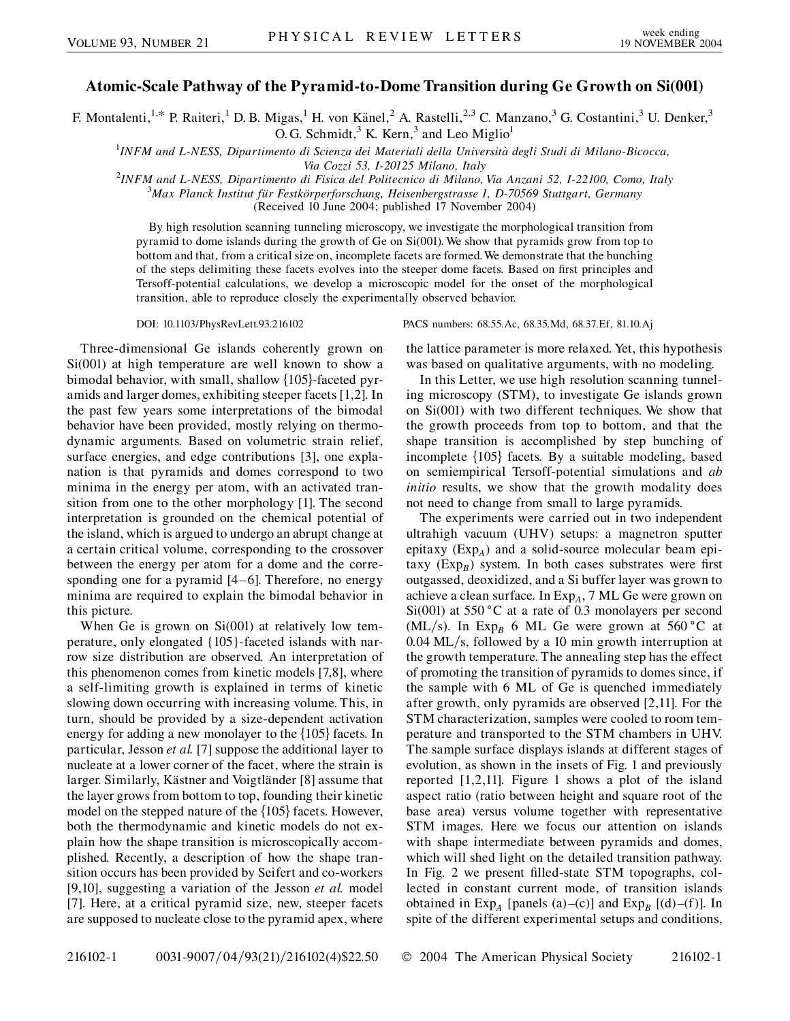## **Atomic-Scale Pathway of the Pyramid-to-Dome Transition during Ge Growth on Si(001)**

F. Montalenti,<sup>1,\*</sup> P. Raiteri,<sup>1</sup> D. B. Migas,<sup>1</sup> H. von Känel,<sup>2</sup> A. Rastelli,<sup>2,3</sup> C. Manzano,<sup>3</sup> G. Costantini,<sup>3</sup> U. Denker,<sup>3</sup> O. G. Schmidt,  $3$  K. Kern,  $3$  and Leo Miglio<sup>1</sup>

1 *INFM and L-NESS, Dipartimento di Scienza dei Materiali della Universita` degli Studi di Milano-Bicocca, Via Cozzi 53, I-20125 Milano, Italy* <sup>2</sup>

*INFM and L-NESS, Dipartimento di Fisica del Politecnico di Milano, Via Anzani 52, I-22100, Como, Italy* <sup>3</sup> *Max Planck Institut fu¨r Festko¨rperforschung, Heisenbergstrasse 1, D-70569 Stuttgart, Germany*

(Received 10 June 2004; published 17 November 2004)

By high resolution scanning tunneling microscopy, we investigate the morphological transition from pyramid to dome islands during the growth of Ge on Si(001). We show that pyramids grow from top to bottom and that, from a critical size on, incomplete facets are formed. We demonstrate that the bunching of the steps delimiting these facets evolves into the steeper dome facets. Based on first principles and Tersoff-potential calculations, we develop a microscopic model for the onset of the morphological transition, able to reproduce closely the experimentally observed behavior.

Three-dimensional Ge islands coherently grown on Si(001) at high temperature are well known to show a bimodal behavior, with small, shallow  $\{105\}$ -faceted pyramids and larger domes, exhibiting steeper facets [1,2]. In the past few years some interpretations of the bimodal behavior have been provided, mostly relying on thermodynamic arguments. Based on volumetric strain relief, surface energies, and edge contributions [3], one explanation is that pyramids and domes correspond to two minima in the energy per atom, with an activated transition from one to the other morphology [1]. The second interpretation is grounded on the chemical potential of the island, which is argued to undergo an abrupt change at a certain critical volume, corresponding to the crossover between the energy per atom for a dome and the corresponding one for a pyramid [4–6]. Therefore, no energy minima are required to explain the bimodal behavior in this picture.

When Ge is grown on Si(001) at relatively low temperature, only elongated {105}-faceted islands with narrow size distribution are observed. An interpretation of this phenomenon comes from kinetic models [7,8], where a self-limiting growth is explained in terms of kinetic slowing down occurring with increasing volume. This, in turn, should be provided by a size-dependent activation energy for adding a new monolayer to the  $\{105\}$  facets. In particular, Jesson *et al.* [7] suppose the additional layer to nucleate at a lower corner of the facet, where the strain is larger. Similarly, Kästner and Voigtländer [8] assume that the layer grows from bottom to top, founding their kinetic model on the stepped nature of the  $\{105\}$  facets. However, both the thermodynamic and kinetic models do not explain how the shape transition is microscopically accomplished. Recently, a description of how the shape transition occurs has been provided by Seifert and co-workers [9,10], suggesting a variation of the Jesson *et al.* model [7]. Here, at a critical pyramid size, new, steeper facets are supposed to nucleate close to the pyramid apex, where

DOI: 10.1103/PhysRevLett.93.216102 PACS numbers: 68.55.Ac, 68.35.Md, 68.37.Ef, 81.10.Aj

the lattice parameter is more relaxed. Yet, this hypothesis was based on qualitative arguments, with no modeling.

In this Letter, we use high resolution scanning tunneling microscopy (STM), to investigate Ge islands grown on Si(001) with two different techniques. We show that the growth proceeds from top to bottom, and that the shape transition is accomplished by step bunching of incomplete  $\{105\}$  facets. By a suitable modeling, based on semiempirical Tersoff-potential simulations and *ab initio* results, we show that the growth modality does not need to change from small to large pyramids.

The experiments were carried out in two independent ultrahigh vacuum (UHV) setups: a magnetron sputter epitaxy (Exp*A*) and a solid-source molecular beam epitaxy  $(Exp_B)$  system. In both cases substrates were first outgassed, deoxidized, and a Si buffer layer was grown to achieve a clean surface. In Exp*A*, 7 ML Ge were grown on Si(001) at 550  $^{\circ}$ C at a rate of 0.3 monolayers per second (ML/s). In Exp<sub>B</sub> 6 ML Ge were grown at 560 °C at 0.04 ML/s, followed by a 10 min growth interruption at the growth temperature. The annealing step has the effect of promoting the transition of pyramids to domes since, if the sample with 6 ML of Ge is quenched immediately after growth, only pyramids are observed [2,11]. For the STM characterization, samples were cooled to room temperature and transported to the STM chambers in UHV. The sample surface displays islands at different stages of evolution, as shown in the insets of Fig. 1 and previously reported [1,2,11]. Figure 1 shows a plot of the island aspect ratio (ratio between height and square root of the base area) versus volume together with representative STM images. Here we focus our attention on islands with shape intermediate between pyramids and domes, which will shed light on the detailed transition pathway. In Fig. 2 we present filled-state STM topographs, collected in constant current mode, of transition islands obtained in  $Exp_A$  [panels (a)–(c)] and  $Exp_B$  [(d)–(f)]. In spite of the different experimental setups and conditions,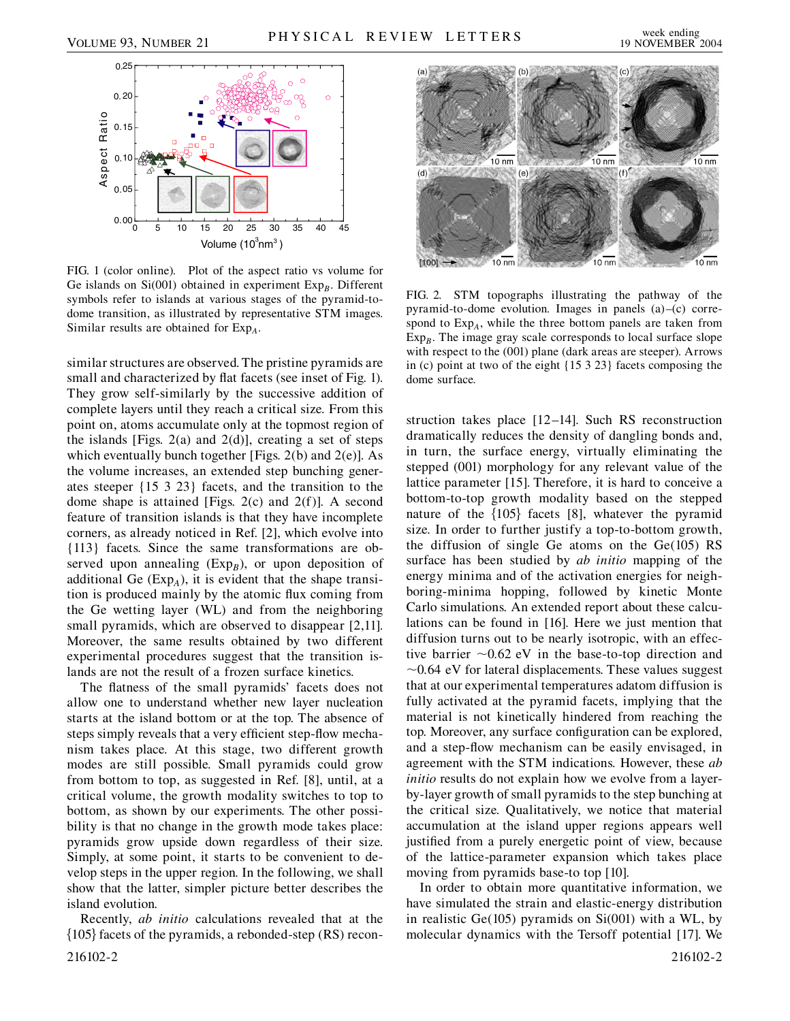

FIG. 1 (color online). Plot of the aspect ratio vs volume for Ge islands on  $Si(001)$  obtained in experiment  $Exp<sub>B</sub>$ . Different symbols refer to islands at various stages of the pyramid-todome transition, as illustrated by representative STM images. Similar results are obtained for Exp<sub>A</sub>.

similar structures are observed. The pristine pyramids are small and characterized by flat facets (see inset of Fig. 1). They grow self-similarly by the successive addition of complete layers until they reach a critical size. From this point on, atoms accumulate only at the topmost region of the islands [Figs.  $2(a)$  and  $2(d)$ ], creating a set of steps which eventually bunch together [Figs.  $2(b)$  and  $2(e)$ ]. As the volume increases, an extended step bunching generates steeper {15 3 23} facets, and the transition to the dome shape is attained [Figs. 2(c) and 2(f)]. A second feature of transition islands is that they have incomplete corners, as already noticed in Ref. [2], which evolve into {113} facets. Since the same transformations are observed upon annealing  $(Exp_B)$ , or upon deposition of additional Ge  $(Exp<sub>A</sub>)$ , it is evident that the shape transition is produced mainly by the atomic flux coming from the Ge wetting layer (WL) and from the neighboring small pyramids, which are observed to disappear [2,11]. Moreover, the same results obtained by two different experimental procedures suggest that the transition islands are not the result of a frozen surface kinetics.

The flatness of the small pyramids' facets does not allow one to understand whether new layer nucleation starts at the island bottom or at the top. The absence of steps simply reveals that a very efficient step-flow mechanism takes place. At this stage, two different growth modes are still possible. Small pyramids could grow from bottom to top, as suggested in Ref. [8], until, at a critical volume, the growth modality switches to top to bottom, as shown by our experiments. The other possibility is that no change in the growth mode takes place: pyramids grow upside down regardless of their size. Simply, at some point, it starts to be convenient to develop steps in the upper region. In the following, we shall show that the latter, simpler picture better describes the island evolution.

Recently, *ab initio* calculations revealed that at the  ${105}$  facets of the pyramids, a rebonded-step (RS) recon-216102-2 216102-2



FIG. 2. STM topographs illustrating the pathway of the pyramid-to-dome evolution. Images in panels (a)–(c) correspond to Exp*A*, while the three bottom panels are taken from  $Exp<sub>B</sub>$ . The image gray scale corresponds to local surface slope with respect to the (001) plane (dark areas are steeper). Arrows in (c) point at two of the eight {15 3 23} facets composing the dome surface.

struction takes place [12–14]. Such RS reconstruction dramatically reduces the density of dangling bonds and, in turn, the surface energy, virtually eliminating the stepped (001) morphology for any relevant value of the lattice parameter [15]. Therefore, it is hard to conceive a bottom-to-top growth modality based on the stepped nature of the  $\{105\}$  facets  $[8]$ , whatever the pyramid size. In order to further justify a top-to-bottom growth, the diffusion of single Ge atoms on the  $Ge(105)$  RS surface has been studied by *ab initio* mapping of the energy minima and of the activation energies for neighboring-minima hopping, followed by kinetic Monte Carlo simulations. An extended report about these calculations can be found in [16]. Here we just mention that diffusion turns out to be nearly isotropic, with an effective barrier  $\sim 0.62$  eV in the base-to-top direction and  $\sim$ 0.64 eV for lateral displacements. These values suggest that at our experimental temperatures adatom diffusion is fully activated at the pyramid facets, implying that the material is not kinetically hindered from reaching the top. Moreover, any surface configuration can be explored, and a step-flow mechanism can be easily envisaged, in agreement with the STM indications. However, these *ab initio* results do not explain how we evolve from a layerby-layer growth of small pyramids to the step bunching at the critical size. Qualitatively, we notice that material accumulation at the island upper regions appears well justified from a purely energetic point of view, because of the lattice-parameter expansion which takes place moving from pyramids base-to top [10].

In order to obtain more quantitative information, we have simulated the strain and elastic-energy distribution in realistic  $Ge(105)$  pyramids on  $Si(001)$  with a WL, by molecular dynamics with the Tersoff potential [17]. We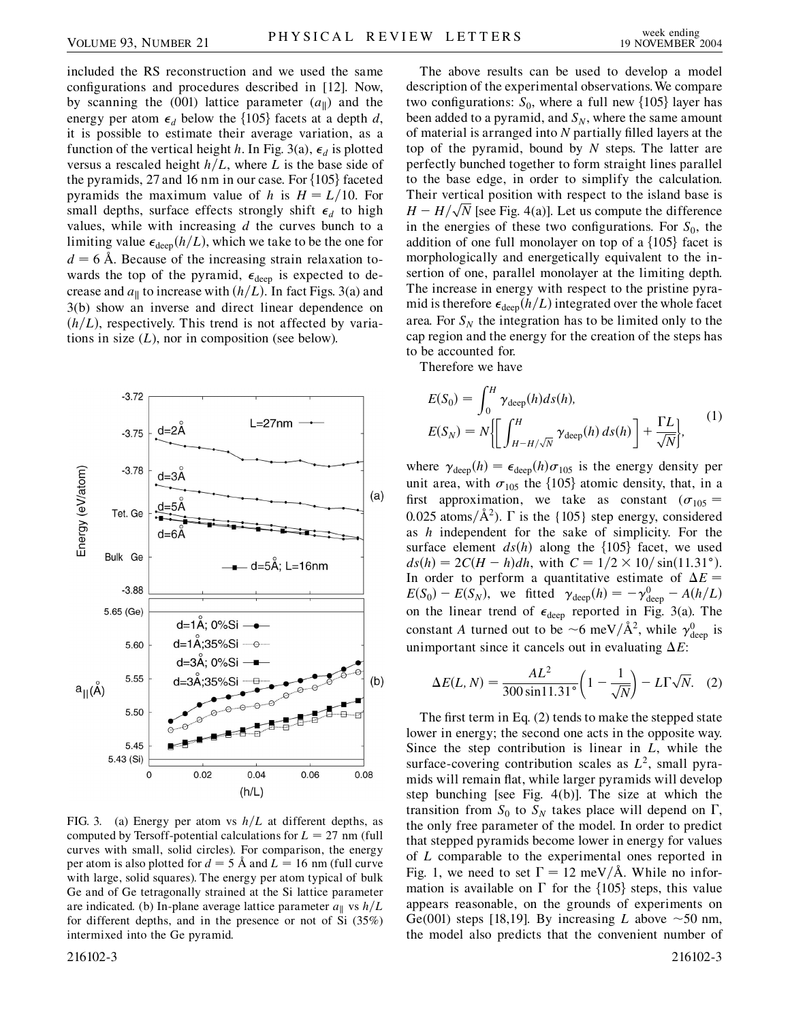included the RS reconstruction and we used the same configurations and procedures described in [12]. Now, by scanning the (001) lattice parameter  $(a_{\parallel})$  and the energy per atom  $\epsilon_d$  below the {105} facets at a depth *d*, it is possible to estimate their average variation, as a function of the vertical height *h*. In Fig. 3(a),  $\epsilon_d$  is plotted versus a rescaled height  $h/L$ , where *L* is the base side of the pyramids, 27 and 16 nm in our case. For  $\{105\}$  faceted pyramids the maximum value of *h* is  $H = L/10$ . For small depths, surface effects strongly shift  $\epsilon_d$  to high values, while with increasing *d* the curves bunch to a limiting value  $\epsilon_{\text{deep}}(h/L)$ , which we take to be the one for  $d = 6$  Å. Because of the increasing strain relaxation towards the top of the pyramid,  $\epsilon_{\text{deep}}$  is expected to decrease and  $a_{\parallel}$  to increase with  $(h/L)$ . In fact Figs. 3(a) and 3(b) show an inverse and direct linear dependence on  $(h/L)$ , respectively. This trend is not affected by variations in size  $(L)$ , nor in composition (see below).



FIG. 3. (a) Energy per atom vs  $h/L$  at different depths, as computed by Tersoff-potential calculations for  $L = 27$  nm (full curves with small, solid circles). For comparison, the energy per atom is also plotted for  $d = 5$  Å and  $L = 16$  nm (full curve with large, solid squares). The energy per atom typical of bulk Ge and of Ge tetragonally strained at the Si lattice parameter are indicated. (b) In-plane average lattice parameter  $a_{\parallel}$  vs  $h/L$ for different depths, and in the presence or not of Si (35%) intermixed into the Ge pyramid.

The above results can be used to develop a model description of the experimental observations.We compare two configurations:  $S_0$ , where a full new  $\{105\}$  layer has been added to a pyramid, and  $S_N$ , where the same amount of material is arranged into *N* partially filled layers at the top of the pyramid, bound by *N* steps. The latter are perfectly bunched together to form straight lines parallel to the base edge, in order to simplify the calculation. Their vertical position with respect to the island base is *H* = *H*/ $\sqrt{N}$  [see Fig. 4(a)]. Let us compute the difference in the energies of these two configurations. For  $S_0$ , the addition of one full monolayer on top of a  $\{105\}$  facet is morphologically and energetically equivalent to the insertion of one, parallel monolayer at the limiting depth. The increase in energy with respect to the pristine pyramid is therefore  $\epsilon_{\rm deep}(h/L)$  integrated over the whole facet area. For  $S_N$  the integration has to be limited only to the cap region and the energy for the creation of the steps has to be accounted for.

Therefore we have

$$
E(S_0) = \int_0^H \gamma_{\text{deep}}(h) ds(h),
$$
  
\n
$$
E(S_N) = N \Biggl[ \int_{H-H/\sqrt{N}}^H \gamma_{\text{deep}}(h) ds(h) \Biggr] + \frac{\Gamma L}{\sqrt{N}} \Biggr],
$$
\n(1)

where  $\gamma_{\text{deep}}(h) = \epsilon_{\text{deep}}(h)\sigma_{105}$  is the energy density per unit area, with  $\sigma_{105}$  the {105} atomic density, that, in a first approximation, we take as constant  $(\sigma_{105} =$ 0.025 atoms/ $\hat{A}^2$ ).  $\Gamma$  is the {105} step energy, considered as *h* independent for the sake of simplicity. For the surface element  $ds(h)$  along the  $\{105\}$  facet, we used  $ds(h) = 2C(H - h)dh$ , with  $C = 1/2 \times 10/\sin(11.31$ °). In order to perform a quantitative estimate of  $\Delta E =$  $E(S_0) - E(S_N)$ , we fitted  $\gamma_{\text{deep}}(h) = -\gamma_{\text{deep}}^0 - A(h/L)$ on the linear trend of  $\epsilon_{\text{deep}}$  reported in Fig. 3(a). The constant *A* turned out to be  $\sim$  6 meV/ $\AA$ <sup>2</sup>, while  $\gamma_{\text{deep}}^0$  is unimportant since it cancels out in evaluating  $\Delta E$ :

$$
\Delta E(L, N) = \frac{AL^2}{300 \sin 11.31^\circ} \left(1 - \frac{1}{\sqrt{N}}\right) - L\Gamma\sqrt{N}.\tag{2}
$$

The first term in Eq. (2) tends to make the stepped state lower in energy; the second one acts in the opposite way. Since the step contribution is linear in *L*, while the surface-covering contribution scales as  $L^2$ , small pyramids will remain flat, while larger pyramids will develop step bunching [see Fig. 4(b)]. The size at which the transition from  $S_0$  to  $S_N$  takes place will depend on  $\Gamma$ , the only free parameter of the model. In order to predict that stepped pyramids become lower in energy for values of *L* comparable to the experimental ones reported in Fig. 1, we need to set  $\Gamma = 12$  meV/Å. While no information is available on  $\Gamma$  for the  $\{105\}$  steps, this value appears reasonable, on the grounds of experiments on Ge(001) steps [18,19]. By increasing *L* above  $\sim$  50 nm, the model also predicts that the convenient number of